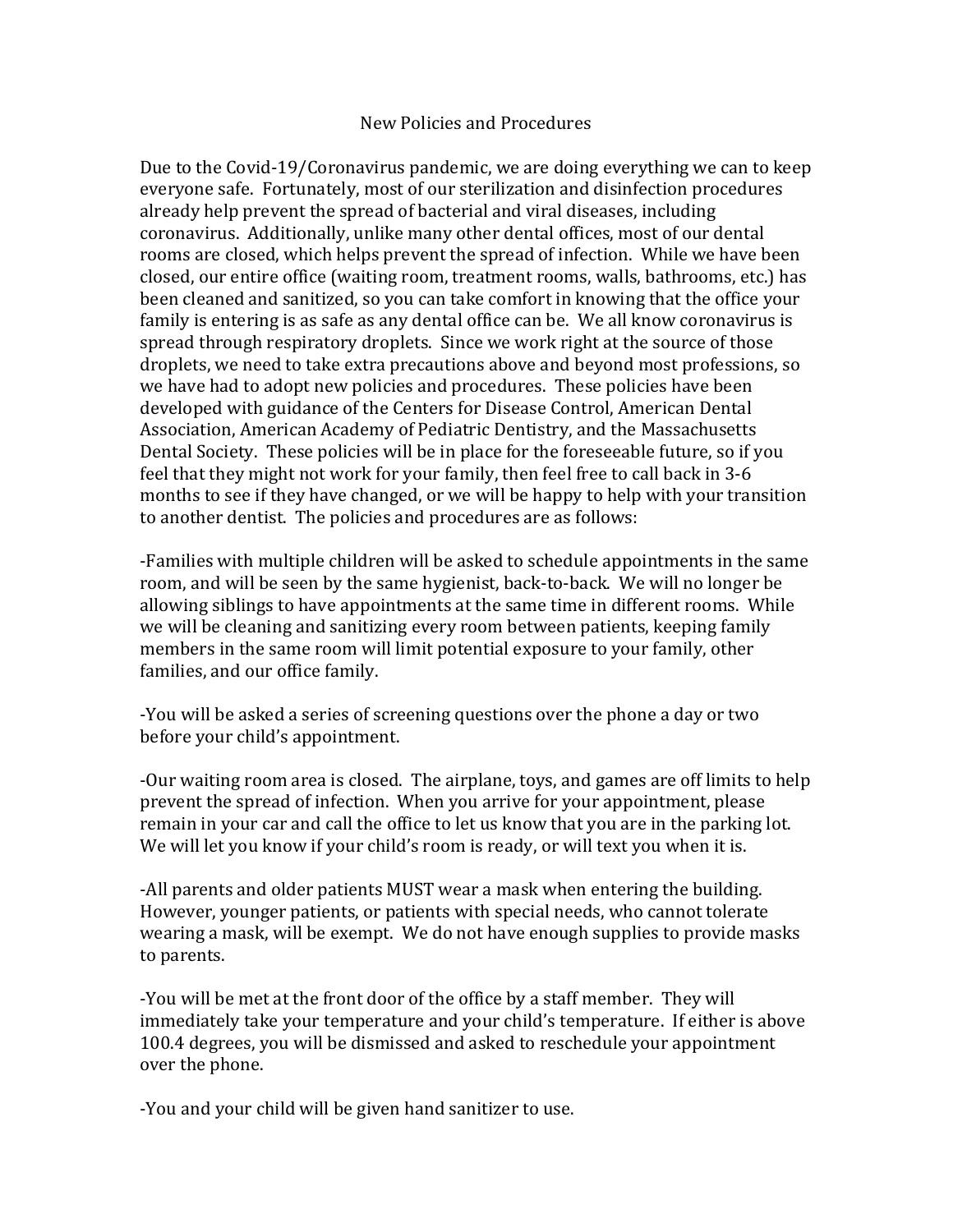## New Policies and Procedures

Due to the Covid-19/Coronavirus pandemic, we are doing everything we can to keep everyone safe. Fortunately, most of our sterilization and disinfection procedures already help prevent the spread of bacterial and viral diseases, including coronavirus. Additionally, unlike many other dental offices, most of our dental rooms are closed, which helps prevent the spread of infection. While we have been closed, our entire office (waiting room, treatment rooms, walls, bathrooms, etc.) has been cleaned and sanitized, so you can take comfort in knowing that the office your family is entering is as safe as any dental office can be. We all know coronavirus is spread through respiratory droplets. Since we work right at the source of those droplets, we need to take extra precautions above and beyond most professions, so we have had to adopt new policies and procedures. These policies have been developed with guidance of the Centers for Disease Control, American Dental Association, American Academy of Pediatric Dentistry, and the Massachusetts Dental Society. These policies will be in place for the foreseeable future, so if you feel that they might not work for your family, then feel free to call back in 3-6 months to see if they have changed, or we will be happy to help with your transition to another dentist. The policies and procedures are as follows:

-Families with multiple children will be asked to schedule appointments in the same room, and will be seen by the same hygienist, back-to-back. We will no longer be allowing siblings to have appointments at the same time in different rooms. While we will be cleaning and sanitizing every room between patients, keeping family members in the same room will limit potential exposure to your family, other families, and our office family.

-You will be asked a series of screening questions over the phone a day or two before your child's appointment.

-Our waiting room area is closed. The airplane, toys, and games are off limits to help prevent the spread of infection. When you arrive for your appointment, please remain in your car and call the office to let us know that you are in the parking lot. We will let you know if your child's room is ready, or will text you when it is.

-All parents and older patients MUST wear a mask when entering the building. However, younger patients, or patients with special needs, who cannot tolerate wearing a mask, will be exempt. We do not have enough supplies to provide masks to parents.

-You will be met at the front door of the office by a staff member. They will immediately take your temperature and your child's temperature. If either is above 100.4 degrees, you will be dismissed and asked to reschedule your appointment over the phone.

-You and your child will be given hand sanitizer to use.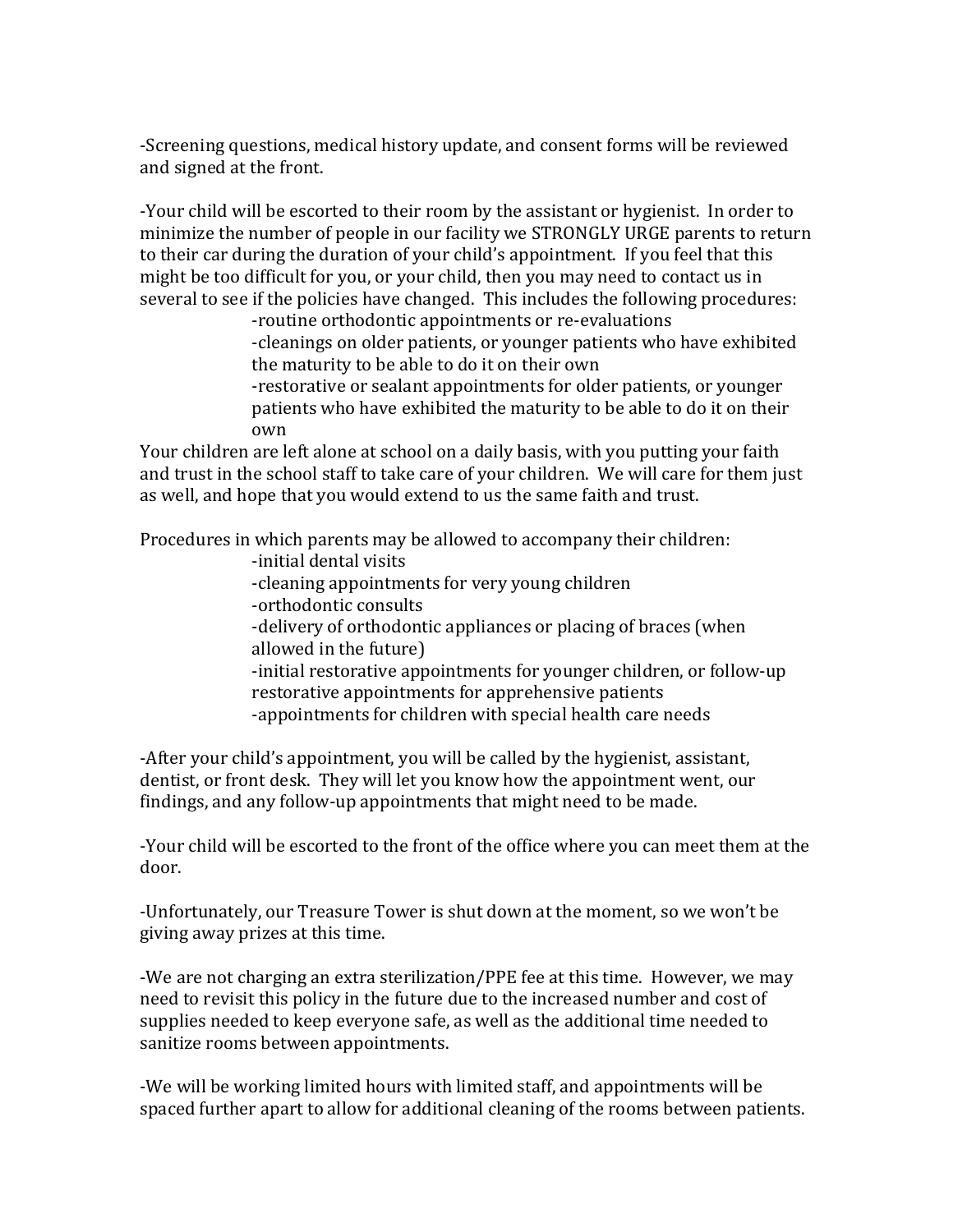-Screening questions, medical history update, and consent forms will be reviewed and signed at the front.

-Your child will be escorted to their room by the assistant or hygienist. In order to minimize the number of people in our facility we STRONGLY URGE parents to return to their car during the duration of your child's appointment. If you feel that this might be too difficult for you, or your child, then you may need to contact us in several to see if the policies have changed. This includes the following procedures:

-routine orthodontic appointments or re-evaluations -cleanings on older patients, or younger patients who have exhibited the maturity to be able to do it on their own -restorative or sealant appointments for older patients, or younger

patients who have exhibited the maturity to be able to do it on their own

Your children are left alone at school on a daily basis, with you putting your faith and trust in the school staff to take care of your children. We will care for them just as well, and hope that you would extend to us the same faith and trust.

Procedures in which parents may be allowed to accompany their children:

- -initial dental visits
- -cleaning appointments for very young children
- -orthodontic consults
- -delivery of orthodontic appliances or placing of braces (when allowed in the future)

-initial restorative appointments for younger children, or follow-up restorative appointments for apprehensive patients

-appointments for children with special health care needs

-After your child's appointment, you will be called by the hygienist, assistant, dentist, or front desk. They will let you know how the appointment went, our findings, and any follow-up appointments that might need to be made.

-Your child will be escorted to the front of the office where you can meet them at the door.

-Unfortunately, our Treasure Tower is shut down at the moment, so we won't be giving away prizes at this time.

-We are not charging an extra sterilization/PPE fee at this time. However, we may need to revisit this policy in the future due to the increased number and cost of supplies needed to keep everyone safe, as well as the additional time needed to sanitize rooms between appointments.

-We will be working limited hours with limited staff, and appointments will be spaced further apart to allow for additional cleaning of the rooms between patients.